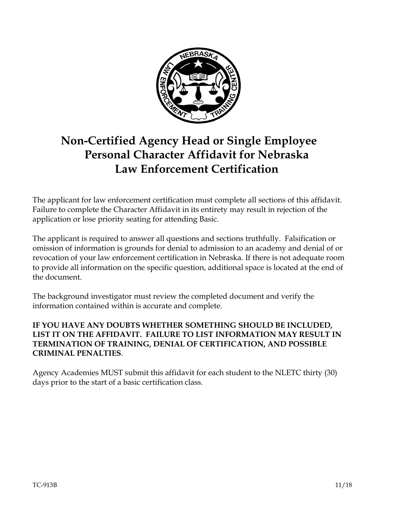

# **Non-Certified Agency Head or Single Employee Personal Character Affidavit for Nebraska Law Enforcement Certification**

The applicant for law enforcement certification must complete all sections of this affidavit. Failure to complete the Character Affidavit in its entirety may result in rejection of the application or lose priority seating for attending Basic.

The applicant is required to answer all questions and sections truthfully. Falsification or omission of information is grounds for denial to admission to an academy and denial of or revocation of your law enforcement certification in Nebraska. If there is not adequate room to provide all information on the specific question, additional space is located at the end of the document.

The background investigator must review the completed document and verify the information contained within is accurate and complete.

#### **IF YOU HAVE ANY DOUBTS WHETHER SOMETHING SHOULD BE INCLUDED, LIST IT ON THE AFFIDAVIT. FAILURE TO LIST INFORMATION MAY RESULT IN TERMINATION OF TRAINING, DENIAL OF CERTIFICATION, AND POSSIBLE CRIMINAL PENALTIES**.

Agency Academies MUST submit this affidavit for each student to the NLETC thirty (30) days prior to the start of a basic certification class.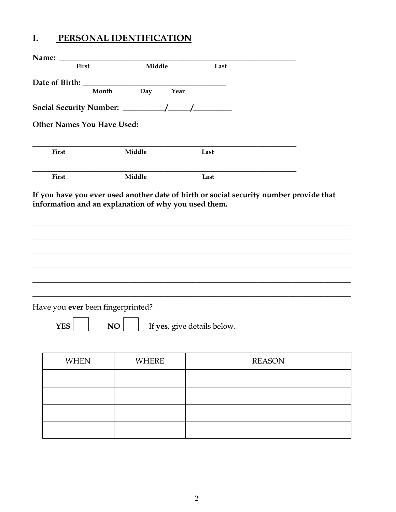#### I. PERSONAL IDENTIFICATION

| Name:                             |                                                      |                             |               |
|-----------------------------------|------------------------------------------------------|-----------------------------|---------------|
| First                             | Middle                                               | Last                        |               |
|                                   |                                                      |                             |               |
| Month                             | Day<br>Year                                          |                             |               |
|                                   |                                                      |                             |               |
| <b>Other Names You Have Used:</b> |                                                      |                             |               |
| <b>First</b>                      | Middle                                               | Last                        |               |
| <b>First</b>                      | Middle                                               | Last                        |               |
|                                   | information and an explanation of why you used them. |                             |               |
|                                   |                                                      |                             |               |
|                                   |                                                      |                             |               |
|                                   |                                                      |                             |               |
| Have you ever been fingerprinted? |                                                      |                             |               |
| <b>YES</b>                        | NO                                                   | If yes, give details below. |               |
| <b>WHEN</b>                       | <b>WHERE</b>                                         |                             | <b>REASON</b> |
|                                   |                                                      |                             |               |
|                                   |                                                      |                             |               |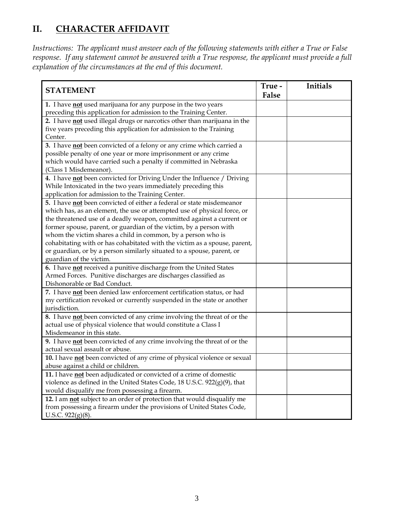## **II. CHARACTER AFFIDAVIT**

*Instructions: The applicant must answer each of the following statements with either a True or False response. If any statement cannot be answered with a True response, the applicant must provide a full explanation of the circumstances at the end of this document.*

| <b>STATEMENT</b>                                                              | True -<br>False | Initials |
|-------------------------------------------------------------------------------|-----------------|----------|
| 1. I have not used marijuana for any purpose in the two years                 |                 |          |
| preceding this application for admission to the Training Center.              |                 |          |
| 2. I have not used illegal drugs or narcotics other than marijuana in the     |                 |          |
| five years preceding this application for admission to the Training           |                 |          |
| Center.                                                                       |                 |          |
| 3. I have not been convicted of a felony or any crime which carried a         |                 |          |
| possible penalty of one year or more imprisonment or any crime                |                 |          |
| which would have carried such a penalty if committed in Nebraska              |                 |          |
| (Class 1 Misdemeanor).                                                        |                 |          |
| 4. I have not been convicted for Driving Under the Influence / Driving        |                 |          |
| While Intoxicated in the two years immediately preceding this                 |                 |          |
| application for admission to the Training Center.                             |                 |          |
| 5. I have not been convicted of either a federal or state misdemeanor         |                 |          |
| which has, as an element, the use or attempted use of physical force, or      |                 |          |
| the threatened use of a deadly weapon, committed against a current or         |                 |          |
| former spouse, parent, or guardian of the victim, by a person with            |                 |          |
| whom the victim shares a child in common, by a person who is                  |                 |          |
| cohabitating with or has cohabitated with the victim as a spouse, parent,     |                 |          |
| or guardian, or by a person similarly situated to a spouse, parent, or        |                 |          |
| guardian of the victim.                                                       |                 |          |
| 6. I have not received a punitive discharge from the United States            |                 |          |
| Armed Forces. Punitive discharges are discharges classified as                |                 |          |
| Dishonorable or Bad Conduct.                                                  |                 |          |
| 7. I have not been denied law enforcement certification status, or had        |                 |          |
| my certification revoked or currently suspended in the state or another       |                 |          |
| jurisdiction.                                                                 |                 |          |
| 8. I have not been convicted of any crime involving the threat of or the      |                 |          |
| actual use of physical violence that would constitute a Class I               |                 |          |
| Misdemeanor in this state.                                                    |                 |          |
| 9. I have not been convicted of any crime involving the threat of or the      |                 |          |
| actual sexual assault or abuse.                                               |                 |          |
| 10. I have not been convicted of any crime of physical violence or sexual     |                 |          |
| abuse against a child or children.                                            |                 |          |
| 11. I have <b>not</b> been adjudicated or convicted of a crime of domestic    |                 |          |
| violence as defined in the United States Code, $18$ U.S.C. $922(g)(9)$ , that |                 |          |
| would disqualify me from possessing a firearm.                                |                 |          |
| 12. I am not subject to an order of protection that would disqualify me       |                 |          |
| from possessing a firearm under the provisions of United States Code,         |                 |          |
| U.S.C. $922(g)(8)$ .                                                          |                 |          |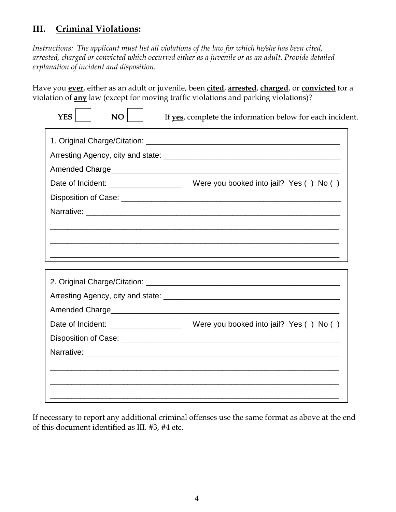#### **III. Criminal Violations:**

*Instructions: The applicant must list all violations of the law for which he/she has been cited, arrested, charged or convicted which occurred either as a juvenile or as an adult. Provide detailed explanation of incident and disposition.* 

Have you **ever**, either as an adult or juvenile, been **cited**, **arrested**, **charged**, or **convicted** for a violation of **any** law (except for moving traffic violations and parking violations)?

| <b>YES</b><br>NO | If yes, complete the information below for each incident. |  |  |  |  |
|------------------|-----------------------------------------------------------|--|--|--|--|
|                  |                                                           |  |  |  |  |
|                  |                                                           |  |  |  |  |
|                  |                                                           |  |  |  |  |
|                  |                                                           |  |  |  |  |
|                  |                                                           |  |  |  |  |
|                  |                                                           |  |  |  |  |
|                  |                                                           |  |  |  |  |
|                  |                                                           |  |  |  |  |
|                  |                                                           |  |  |  |  |
|                  |                                                           |  |  |  |  |
|                  |                                                           |  |  |  |  |
|                  |                                                           |  |  |  |  |
|                  |                                                           |  |  |  |  |
|                  |                                                           |  |  |  |  |
|                  |                                                           |  |  |  |  |
|                  |                                                           |  |  |  |  |
|                  |                                                           |  |  |  |  |
|                  |                                                           |  |  |  |  |
|                  |                                                           |  |  |  |  |

If necessary to report any additional criminal offenses use the same format as above at the end of this document identified as III. #3, #4 etc.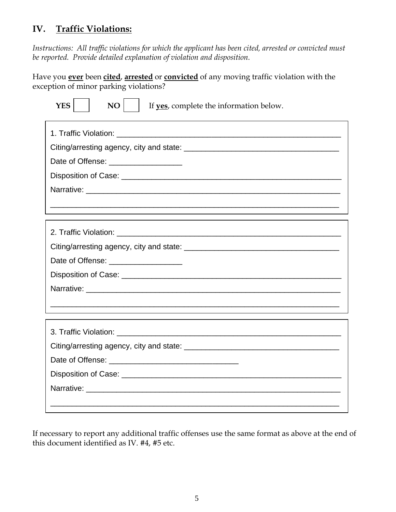## **IV. Traffic Violations:**

*Instructions: All traffic violations for which the applicant has been cited, arrested or convicted must be reported. Provide detailed explanation of violation and disposition.* 

Have you **ever** been **cited**, **arrested** or **convicted** of any moving traffic violation with the exception of minor parking violations?

| <b>YES</b><br>NO                     | If yes, complete the information below.                                                                               |  |  |
|--------------------------------------|-----------------------------------------------------------------------------------------------------------------------|--|--|
|                                      |                                                                                                                       |  |  |
|                                      |                                                                                                                       |  |  |
| Date of Offense: ___________________ |                                                                                                                       |  |  |
|                                      |                                                                                                                       |  |  |
|                                      |                                                                                                                       |  |  |
|                                      | <u> 1989 - Johann Harry Harry Harry Harry Harry Harry Harry Harry Harry Harry Harry Harry Harry Harry Harry Harry</u> |  |  |
|                                      |                                                                                                                       |  |  |
|                                      |                                                                                                                       |  |  |
| Date of Offense: ___________________ |                                                                                                                       |  |  |
|                                      |                                                                                                                       |  |  |
|                                      |                                                                                                                       |  |  |
|                                      |                                                                                                                       |  |  |
|                                      |                                                                                                                       |  |  |
|                                      |                                                                                                                       |  |  |
|                                      |                                                                                                                       |  |  |
|                                      |                                                                                                                       |  |  |
|                                      |                                                                                                                       |  |  |

If necessary to report any additional traffic offenses use the same format as above at the end of this document identified as IV. #4, #5 etc.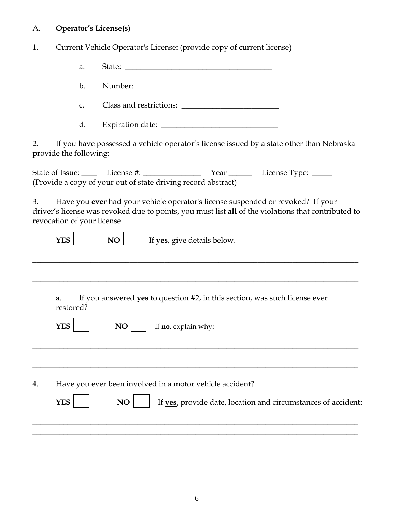## A. **Operator's License(s)**

1. Current Vehicle Operator's License: (provide copy of current license)

|    | a.                          |                                                                                                                                                                                               |
|----|-----------------------------|-----------------------------------------------------------------------------------------------------------------------------------------------------------------------------------------------|
|    | $\mathbf{b}$ .              |                                                                                                                                                                                               |
|    | C.                          | Class and restrictions:                                                                                                                                                                       |
|    | d.                          |                                                                                                                                                                                               |
| 2. | provide the following:      | If you have possessed a vehicle operator's license issued by a state other than Nebraska                                                                                                      |
|    |                             | (Provide a copy of your out of state driving record abstract)                                                                                                                                 |
| 3. | revocation of your license. | Have you <b>ever</b> had your vehicle operator's license suspended or revoked? If your<br>driver's license was revoked due to points, you must list all of the violations that contributed to |
|    | <b>YES</b>                  | If yes, give details below.<br>NO                                                                                                                                                             |
|    |                             |                                                                                                                                                                                               |
|    | a.<br>restored?             | If you answered <b>yes</b> to question #2, in this section, was such license ever                                                                                                             |
|    | <b>YES</b>                  | If <b>no</b> , explain why:<br>NO.                                                                                                                                                            |
|    |                             |                                                                                                                                                                                               |
| 4. |                             | Have you ever been involved in a motor vehicle accident?                                                                                                                                      |
|    | <b>YES</b>                  | NO<br>If yes, provide date, location and circumstances of accident:                                                                                                                           |
|    |                             |                                                                                                                                                                                               |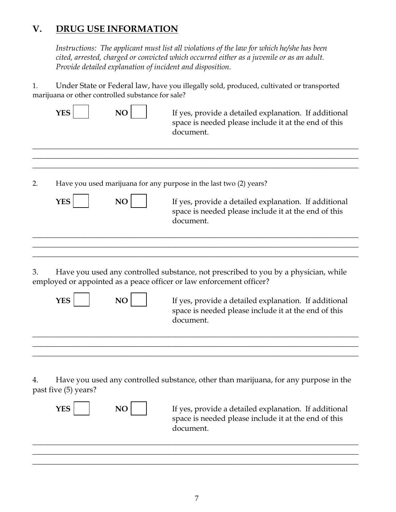### **V. DRUG USE INFORMATION**

*Instructions: The applicant must list all violations of the law for which he/she has been cited, arrested, charged or convicted which occurred either as a juvenile or as an adult. Provide detailed explanation of incident and disposition.* 

1. Under State or Federal law, have you illegally sold, produced, cultivated or transported marijuana or other controlled substance for sale?

|    | YES                  | NO             | If yes, provide a detailed explanation. If additional<br>space is needed please include it at the end of this<br>document.                                                                         |
|----|----------------------|----------------|----------------------------------------------------------------------------------------------------------------------------------------------------------------------------------------------------|
| 2. |                      |                | Have you used marijuana for any purpose in the last two (2) years?                                                                                                                                 |
|    | <b>YES</b>           | NO             | If yes, provide a detailed explanation. If additional<br>space is needed please include it at the end of this<br>document.                                                                         |
| 3. |                      |                | Have you used any controlled substance, not prescribed to you by a physician, while                                                                                                                |
|    | <b>YES</b>           | N <sub>O</sub> | employed or appointed as a peace officer or law enforcement officer?<br>If yes, provide a detailed explanation. If additional<br>space is needed please include it at the end of this<br>document. |
| 4. | past five (5) years? |                | Have you used any controlled substance, other than marijuana, for any purpose in the                                                                                                               |
|    | <b>YES</b>           | NO             | If yes, provide a detailed explanation. If additional<br>space is needed please include it at the end of this<br>document.                                                                         |

\_\_\_\_\_\_\_\_\_\_\_\_\_\_\_\_\_\_\_\_\_\_\_\_\_\_\_\_\_\_\_\_\_\_\_\_\_\_\_\_\_\_\_\_\_\_\_\_\_\_\_\_\_\_\_\_\_\_\_\_\_\_\_\_\_\_\_\_\_\_\_\_\_\_\_\_\_\_\_\_\_\_\_\_ \_\_\_\_\_\_\_\_\_\_\_\_\_\_\_\_\_\_\_\_\_\_\_\_\_\_\_\_\_\_\_\_\_\_\_\_\_\_\_\_\_\_\_\_\_\_\_\_\_\_\_\_\_\_\_\_\_\_\_\_\_\_\_\_\_\_\_\_\_\_\_\_\_\_\_\_\_\_\_\_\_\_\_\_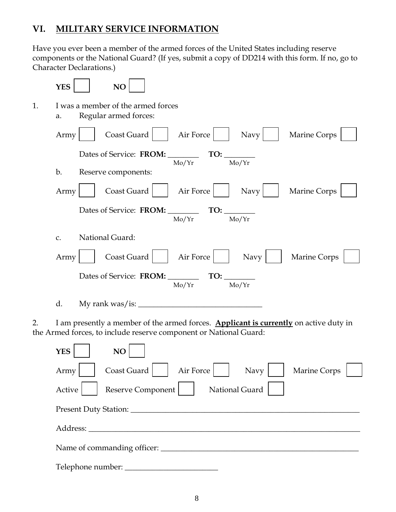## **VI. MILITARY SERVICE INFORMATION**

Have you ever been a member of the armed forces of the United States including reserve components or the National Guard? (If yes, submit a copy of DD214 with this form. If no, go to Character Declarations.)

|    | <b>YES</b> | NO                                                                                                                                                         |
|----|------------|------------------------------------------------------------------------------------------------------------------------------------------------------------|
| 1. | a.         | I was a member of the armed forces<br>Regular armed forces:                                                                                                |
|    | Army       | Coast Guard<br>Air Force<br><b>Marine Corps</b><br>Navy                                                                                                    |
|    |            | Dates of Service: FROM: TO:                                                                                                                                |
|    | b.         | Mo/Yr<br>Mo/Yr<br>Reserve components:                                                                                                                      |
|    | Army       | Air Force<br>Coast Guard<br><b>Marine Corps</b><br>Navy                                                                                                    |
|    |            | Dates of Service: FROM: $\frac{1}{\text{Mo/Yr}}$ TO: $\frac{1}{\text{Mo/Yr}}$                                                                              |
|    | C.         | National Guard:                                                                                                                                            |
|    | Army       | Air Force<br>Coast Guard<br>Navy<br>Marine Corps                                                                                                           |
|    |            | Mo/Yr<br>Mo/Yr                                                                                                                                             |
|    | d.         | My rank was/is: $\frac{1}{2}$                                                                                                                              |
| 2. |            | I am presently a member of the armed forces. Applicant is currently on active duty in<br>the Armed forces, to include reserve component or National Guard: |

| <b>YES</b><br>NO                                         |
|----------------------------------------------------------|
| Air Force<br>Coast Guard<br>Marine Corps<br>Navy<br>Army |
| National Guard<br>Reserve Component<br>Active            |
| Present Duty Station: _________                          |
| Address:                                                 |
| Name of commanding officer:                              |
| Telephone number:                                        |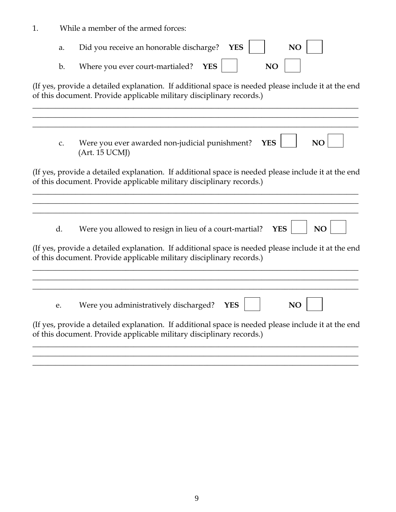1. While a member of the armed forces:

| a.             | Did you receive an honorable discharge?<br><b>YES</b><br><b>NO</b>                                                                                                          |
|----------------|-----------------------------------------------------------------------------------------------------------------------------------------------------------------------------|
| $\mathbf{b}$ . | Where you ever court-martialed?<br><b>YES</b><br>NO                                                                                                                         |
|                | (If yes, provide a detailed explanation. If additional space is needed please include it at the end<br>of this document. Provide applicable military disciplinary records.) |
| $C_{\bullet}$  | Were you ever awarded non-judicial punishment?<br><b>YES</b><br>NO<br>(Art. 15 UCMJ)                                                                                        |
|                | (If yes, provide a detailed explanation. If additional space is needed please include it at the end<br>of this document. Provide applicable military disciplinary records.) |
| d.             | Were you allowed to resign in lieu of a court-martial?<br><b>YES</b><br>NO                                                                                                  |
|                | (If yes, provide a detailed explanation. If additional space is needed please include it at the end<br>of this document. Provide applicable military disciplinary records.) |
| e.             | Were you administratively discharged?<br>NO<br><b>YES</b>                                                                                                                   |
|                | (If yes, provide a detailed explanation. If additional space is needed please include it at the end<br>of this document. Provide applicable military disciplinary records.) |
|                |                                                                                                                                                                             |

**\_\_\_\_\_\_\_\_\_\_\_\_\_\_\_\_\_\_\_\_\_\_\_\_\_\_\_\_\_\_\_\_\_\_\_\_\_\_\_\_\_\_\_\_\_\_\_\_\_\_\_\_\_\_\_\_\_\_\_\_\_\_\_\_\_\_\_\_\_\_\_\_\_\_\_\_\_\_\_\_\_\_\_\_**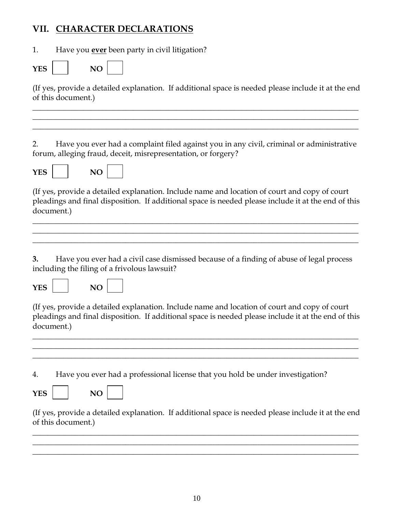## **VII. CHARACTER DECLARATIONS**

1. Have you **ever** been party in civil litigation?

| VEC<br>1 E.S | u |  |
|--------------|---|--|
|              |   |  |

(If yes, provide a detailed explanation. If additional space is needed please include it at the end of this document.)

**\_\_\_\_\_\_\_\_\_\_\_\_\_\_\_\_\_\_\_\_\_\_\_\_\_\_\_\_\_\_\_\_\_\_\_\_\_\_\_\_\_\_\_\_\_\_\_\_\_\_\_\_\_\_\_\_\_\_\_\_\_\_\_\_\_\_\_\_\_\_\_\_\_\_\_\_\_\_\_\_\_\_\_\_ \_\_\_\_\_\_\_\_\_\_\_\_\_\_\_\_\_\_\_\_\_\_\_\_\_\_\_\_\_\_\_\_\_\_\_\_\_\_\_\_\_\_\_\_\_\_\_\_\_\_\_\_\_\_\_\_\_\_\_\_\_\_\_\_\_\_\_\_\_\_\_\_\_\_\_\_\_\_\_\_\_\_\_\_ \_\_\_\_\_\_\_\_\_\_\_\_\_\_\_\_\_\_\_\_\_\_\_\_\_\_\_\_\_\_\_\_\_\_\_\_\_\_\_\_\_\_\_\_\_\_\_\_\_\_\_\_\_\_\_\_\_\_\_\_\_\_\_\_\_\_\_\_\_\_\_\_\_\_\_\_\_\_\_\_\_\_\_\_**

2. Have you ever had a complaint filed against you in any civil, criminal or administrative forum, alleging fraud, deceit, misrepresentation, or forgery?



(If yes, provide a detailed explanation. Include name and location of court and copy of court pleadings and final disposition. If additional space is needed please include it at the end of this document.)

\_\_\_\_\_\_\_\_\_\_\_\_\_\_\_\_\_\_\_\_\_\_\_\_\_\_\_\_\_\_\_\_\_\_\_\_\_\_\_\_\_\_\_\_\_\_\_\_\_\_\_\_\_\_\_\_\_\_\_\_\_\_\_\_\_\_\_\_\_\_\_\_\_\_\_\_\_\_\_\_\_\_\_\_ \_\_\_\_\_\_\_\_\_\_\_\_\_\_\_\_\_\_\_\_\_\_\_\_\_\_\_\_\_\_\_\_\_\_\_\_\_\_\_\_\_\_\_\_\_\_\_\_\_\_\_\_\_\_\_\_\_\_\_\_\_\_\_\_\_\_\_\_\_\_\_\_\_\_\_\_\_\_\_\_\_\_\_\_ \_\_\_\_\_\_\_\_\_\_\_\_\_\_\_\_\_\_\_\_\_\_\_\_\_\_\_\_\_\_\_\_\_\_\_\_\_\_\_\_\_\_\_\_\_\_\_\_\_\_\_\_\_\_\_\_\_\_\_\_\_\_\_\_\_\_\_\_\_\_\_\_\_\_\_\_\_\_\_\_\_\_\_\_

**3.** Have you ever had a civil case dismissed because of a finding of abuse of legal process including the filing of a frivolous lawsuit?

| ۰. |
|----|
|----|



(If yes, provide a detailed explanation. Include name and location of court and copy of court pleadings and final disposition. If additional space is needed please include it at the end of this document.)

\_\_\_\_\_\_\_\_\_\_\_\_\_\_\_\_\_\_\_\_\_\_\_\_\_\_\_\_\_\_\_\_\_\_\_\_\_\_\_\_\_\_\_\_\_\_\_\_\_\_\_\_\_\_\_\_\_\_\_\_\_\_\_\_\_\_\_\_\_\_\_\_\_\_\_\_\_\_\_\_\_\_\_\_ \_\_\_\_\_\_\_\_\_\_\_\_\_\_\_\_\_\_\_\_\_\_\_\_\_\_\_\_\_\_\_\_\_\_\_\_\_\_\_\_\_\_\_\_\_\_\_\_\_\_\_\_\_\_\_\_\_\_\_\_\_\_\_\_\_\_\_\_\_\_\_\_\_\_\_\_\_\_\_\_\_\_\_\_ \_\_\_\_\_\_\_\_\_\_\_\_\_\_\_\_\_\_\_\_\_\_\_\_\_\_\_\_\_\_\_\_\_\_\_\_\_\_\_\_\_\_\_\_\_\_\_\_\_\_\_\_\_\_\_\_\_\_\_\_\_\_\_\_\_\_\_\_\_\_\_\_\_\_\_\_\_\_\_\_\_\_\_\_

4. Have you ever had a professional license that you hold be under investigation?

| v<br>.<br>-- |  |  |
|--------------|--|--|
|--------------|--|--|

(If yes, provide a detailed explanation. If additional space is needed please include it at the end of this document.)

\_\_\_\_\_\_\_\_\_\_\_\_\_\_\_\_\_\_\_\_\_\_\_\_\_\_\_\_\_\_\_\_\_\_\_\_\_\_\_\_\_\_\_\_\_\_\_\_\_\_\_\_\_\_\_\_\_\_\_\_\_\_\_\_\_\_\_\_\_\_\_\_\_\_\_\_\_\_\_\_\_\_\_\_ \_\_\_\_\_\_\_\_\_\_\_\_\_\_\_\_\_\_\_\_\_\_\_\_\_\_\_\_\_\_\_\_\_\_\_\_\_\_\_\_\_\_\_\_\_\_\_\_\_\_\_\_\_\_\_\_\_\_\_\_\_\_\_\_\_\_\_\_\_\_\_\_\_\_\_\_\_\_\_\_\_\_\_\_ \_\_\_\_\_\_\_\_\_\_\_\_\_\_\_\_\_\_\_\_\_\_\_\_\_\_\_\_\_\_\_\_\_\_\_\_\_\_\_\_\_\_\_\_\_\_\_\_\_\_\_\_\_\_\_\_\_\_\_\_\_\_\_\_\_\_\_\_\_\_\_\_\_\_\_\_\_\_\_\_\_\_\_\_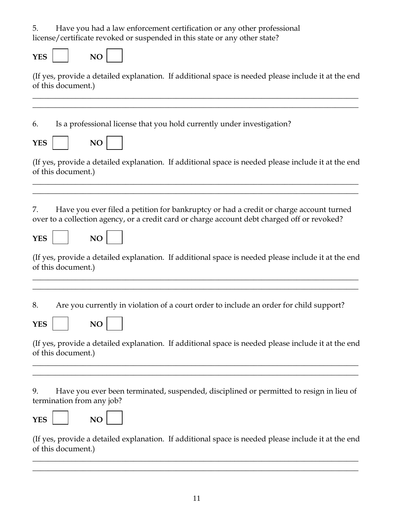5. Have you had a law enforcement certification or any other professional license/certificate revoked or suspended in this state or any other state?

 $YES$  | NO

(If yes, provide a detailed explanation. If additional space is needed please include it at the end of this document.)

**\_\_\_\_\_\_\_\_\_\_\_\_\_\_\_\_\_\_\_\_\_\_\_\_\_\_\_\_\_\_\_\_\_\_\_\_\_\_\_\_\_\_\_\_\_\_\_\_\_\_\_\_\_\_\_\_\_\_\_\_\_\_\_\_\_\_\_\_\_\_\_\_\_\_\_\_\_\_\_\_\_\_\_\_ \_\_\_\_\_\_\_\_\_\_\_\_\_\_\_\_\_\_\_\_\_\_\_\_\_\_\_\_\_\_\_\_\_\_\_\_\_\_\_\_\_\_\_\_\_\_\_\_\_\_\_\_\_\_\_\_\_\_\_\_\_\_\_\_\_\_\_\_\_\_\_\_\_\_\_\_\_\_\_\_\_\_\_\_**

6. Is a professional license that you hold currently under investigation?

| $\overline{\phantom{a}}$<br>∽ |  |
|-------------------------------|--|
|-------------------------------|--|

(If yes, provide a detailed explanation. If additional space is needed please include it at the end of this document.)

**\_\_\_\_\_\_\_\_\_\_\_\_\_\_\_\_\_\_\_\_\_\_\_\_\_\_\_\_\_\_\_\_\_\_\_\_\_\_\_\_\_\_\_\_\_\_\_\_\_\_\_\_\_\_\_\_\_\_\_\_\_\_\_\_\_\_\_\_\_\_\_\_\_\_\_\_\_\_\_\_\_\_\_\_ \_\_\_\_\_\_\_\_\_\_\_\_\_\_\_\_\_\_\_\_\_\_\_\_\_\_\_\_\_\_\_\_\_\_\_\_\_\_\_\_\_\_\_\_\_\_\_\_\_\_\_\_\_\_\_\_\_\_\_\_\_\_\_\_\_\_\_\_\_\_\_\_\_\_\_\_\_\_\_\_\_\_\_\_**

7. Have you ever filed a petition for bankruptcy or had a credit or charge account turned over to a collection agency, or a credit card or charge account debt charged off or revoked?

| VĽ'<br>-- |  | NO. |  |
|-----------|--|-----|--|
|-----------|--|-----|--|

(If yes, provide a detailed explanation. If additional space is needed please include it at the end of this document.)

**\_\_\_\_\_\_\_\_\_\_\_\_\_\_\_\_\_\_\_\_\_\_\_\_\_\_\_\_\_\_\_\_\_\_\_\_\_\_\_\_\_\_\_\_\_\_\_\_\_\_\_\_\_\_\_\_\_\_\_\_\_\_\_\_\_\_\_\_\_\_\_\_\_\_\_\_\_\_\_\_\_\_\_\_ \_\_\_\_\_\_\_\_\_\_\_\_\_\_\_\_\_\_\_\_\_\_\_\_\_\_\_\_\_\_\_\_\_\_\_\_\_\_\_\_\_\_\_\_\_\_\_\_\_\_\_\_\_\_\_\_\_\_\_\_\_\_\_\_\_\_\_\_\_\_\_\_\_\_\_\_\_\_\_\_\_\_\_\_**

8. Are you currently in violation of a court order to include an order for child support?

| v<br>ЕС<br>. H.T |  | ~<br>. |  |
|------------------|--|--------|--|
|------------------|--|--------|--|

(If yes, provide a detailed explanation. If additional space is needed please include it at the end of this document.)

**\_\_\_\_\_\_\_\_\_\_\_\_\_\_\_\_\_\_\_\_\_\_\_\_\_\_\_\_\_\_\_\_\_\_\_\_\_\_\_\_\_\_\_\_\_\_\_\_\_\_\_\_\_\_\_\_\_\_\_\_\_\_\_\_\_\_\_\_\_\_\_\_\_\_\_\_\_\_\_\_\_\_\_\_ \_\_\_\_\_\_\_\_\_\_\_\_\_\_\_\_\_\_\_\_\_\_\_\_\_\_\_\_\_\_\_\_\_\_\_\_\_\_\_\_\_\_\_\_\_\_\_\_\_\_\_\_\_\_\_\_\_\_\_\_\_\_\_\_\_\_\_\_\_\_\_\_\_\_\_\_\_\_\_\_\_\_\_\_**

9. Have you ever been terminated, suspended, disciplined or permitted to resign in lieu of termination from any job?

(If yes, provide a detailed explanation. If additional space is needed please include it at the end of this document.)

**\_\_\_\_\_\_\_\_\_\_\_\_\_\_\_\_\_\_\_\_\_\_\_\_\_\_\_\_\_\_\_\_\_\_\_\_\_\_\_\_\_\_\_\_\_\_\_\_\_\_\_\_\_\_\_\_\_\_\_\_\_\_\_\_\_\_\_\_\_\_\_\_\_\_\_\_\_\_\_\_\_\_\_\_ \_\_\_\_\_\_\_\_\_\_\_\_\_\_\_\_\_\_\_\_\_\_\_\_\_\_\_\_\_\_\_\_\_\_\_\_\_\_\_\_\_\_\_\_\_\_\_\_\_\_\_\_\_\_\_\_\_\_\_\_\_\_\_\_\_\_\_\_\_\_\_\_\_\_\_\_\_\_\_\_\_\_\_\_**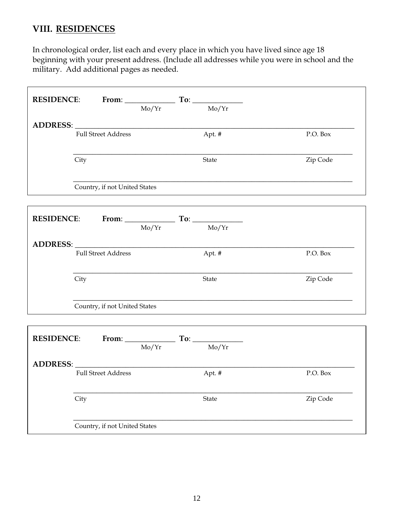### **VIII. RESIDENCES**

In chronological order, list each and every place in which you have lived since age 18 beginning with your present address. (Include all addresses while you were in school and the military. Add additional pages as needed.

| RESIDENCE: From: To: To:                                                                                       |       |                                                             |          |
|----------------------------------------------------------------------------------------------------------------|-------|-------------------------------------------------------------|----------|
|                                                                                                                | Mo/Yr | Mo/Yr                                                       |          |
| ADDRESS: North Contract of the Contract of the Contract of the Contract of the Contract of the Contract of the |       |                                                             |          |
| <b>Full Street Address</b>                                                                                     |       | Apt. #                                                      | P.O. Box |
| City                                                                                                           |       | State                                                       | Zip Code |
| Country, if not United States                                                                                  |       |                                                             |          |
| <b>RESIDENCE:</b> From: $\frac{1}{\text{Mo/Yr}}$ To: $\frac{1}{\text{Mo/Yr}}$                                  |       |                                                             |          |
|                                                                                                                |       |                                                             |          |
|                                                                                                                |       |                                                             |          |
| <b>Full Street Address</b>                                                                                     |       | Apt. #                                                      | P.O. Box |
| City                                                                                                           |       | State                                                       | Zip Code |
| Country, if not United States                                                                                  |       |                                                             |          |
|                                                                                                                |       |                                                             |          |
| <b>RESIDENCE:</b>                                                                                              |       | From: $\frac{1}{\text{Mo/Yr}}$ To: $\frac{1}{\text{Mo/Yr}}$ |          |
|                                                                                                                |       |                                                             |          |
| ADDRESS:                                                                                                       |       |                                                             |          |
| <b>Full Street Address</b>                                                                                     |       | Apt. #                                                      | P.O. Box |
| City                                                                                                           |       | State                                                       | Zip Code |
| Country, if not United States                                                                                  |       |                                                             |          |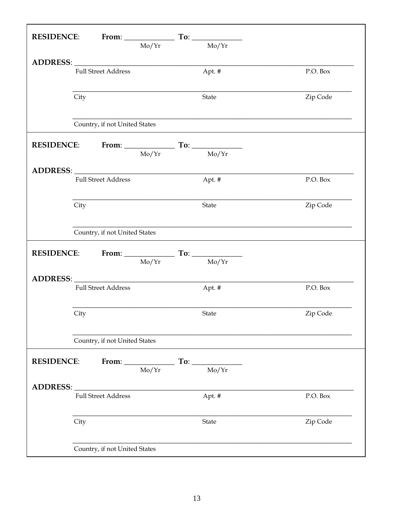|                   |      |                               |       | RESIDENCE: From: To: To:                                                      |          |
|-------------------|------|-------------------------------|-------|-------------------------------------------------------------------------------|----------|
|                   |      |                               | Mo/Yr | $\overline{\text{Mo/Yr}}$                                                     |          |
|                   |      |                               |       |                                                                               |          |
|                   |      | <b>Full Street Address</b>    |       | Apt. #                                                                        | P.O. Box |
|                   |      |                               |       |                                                                               |          |
|                   | City |                               |       | State                                                                         | Zip Code |
|                   |      |                               |       |                                                                               |          |
|                   |      | Country, if not United States |       |                                                                               |          |
|                   |      |                               |       |                                                                               |          |
|                   |      |                               |       | <b>RESIDENCE:</b> From: $\frac{1}{\text{Mo/Yr}}$ To: $\frac{1}{\text{Mo/Yr}}$ |          |
|                   |      |                               |       |                                                                               |          |
|                   |      | <b>Full Street Address</b>    |       | Apt. #                                                                        | P.O. Box |
|                   |      |                               |       |                                                                               |          |
|                   | City |                               |       | State                                                                         | Zip Code |
|                   |      |                               |       |                                                                               |          |
|                   |      | Country, if not United States |       |                                                                               |          |
|                   |      |                               |       |                                                                               |          |
|                   |      |                               |       | <b>RESIDENCE:</b> From: $\frac{1}{\text{Mo/Yr}}$ To: $\frac{1}{\text{Mo/Yr}}$ |          |
|                   |      |                               |       |                                                                               |          |
|                   |      | <b>Full Street Address</b>    |       | Apt. #                                                                        | P.O. Box |
|                   |      |                               |       |                                                                               |          |
|                   | City |                               |       | State                                                                         | Zip Code |
|                   |      |                               |       |                                                                               |          |
|                   |      | Country, if not United States |       |                                                                               |          |
| <b>RESIDENCE:</b> |      |                               |       |                                                                               |          |
|                   |      |                               |       | From: $\frac{1}{\text{Mo/Yr}}$ To: $\frac{1}{\text{Mo/Yr}}$                   |          |
| ADDRESS:          |      |                               |       |                                                                               |          |
|                   |      | <b>Full Street Address</b>    |       | Apt. #                                                                        | P.O. Box |
|                   |      |                               |       |                                                                               |          |
|                   | City |                               |       | State                                                                         | Zip Code |
|                   |      |                               |       |                                                                               |          |
|                   |      | Country, if not United States |       |                                                                               |          |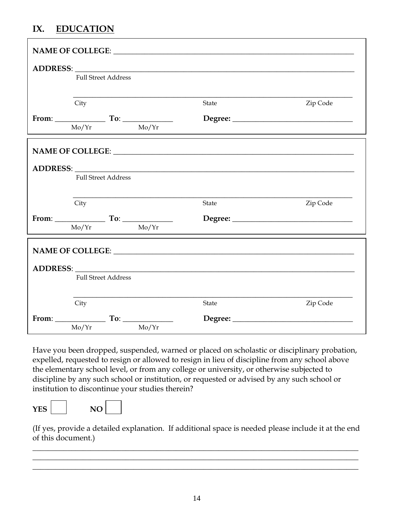## **IX. EDUCATION**

| <b>Full Street Address</b>              |                                                     |          |
|-----------------------------------------|-----------------------------------------------------|----------|
| City                                    | State                                               | Zip Code |
|                                         |                                                     |          |
| $\frac{Mo/Yr}{\sqrt{2\pi}}$             |                                                     |          |
|                                         |                                                     |          |
|                                         |                                                     |          |
| <b>Full Street Address</b>              |                                                     |          |
| City                                    | State                                               | Zip Code |
| From: $\qquad \qquad \text{To:} \qquad$ |                                                     |          |
| Mo/Yr<br>Mo/Yr                          |                                                     |          |
|                                         | NAME OF COLLEGE: LEADER AND THE SERVICE OF COLLEGE. |          |
|                                         | ADDRESS: ADDRESS:                                   |          |
| <b>Full Street Address</b>              |                                                     |          |
| City                                    | State                                               | Zip Code |
|                                         |                                                     |          |
| $Mo/Yr$ $Mo/Yr$                         |                                                     |          |

Have you been dropped, suspended, warned or placed on scholastic or disciplinary probation, expelled, requested to resign or allowed to resign in lieu of discipline from any school above the elementary school level, or from any college or university, or otherwise subjected to discipline by any such school or institution, or requested or advised by any such school or institution to discontinue your studies therein?

YES NO



(If yes, provide a detailed explanation. If additional space is needed please include it at the end of this document.)

**\_\_\_\_\_\_\_\_\_\_\_\_\_\_\_\_\_\_\_\_\_\_\_\_\_\_\_\_\_\_\_\_\_\_\_\_\_\_\_\_\_\_\_\_\_\_\_\_\_\_\_\_\_\_\_\_\_\_\_\_\_\_\_\_\_\_\_\_\_\_\_\_\_\_\_\_\_\_\_\_\_\_\_\_ \_\_\_\_\_\_\_\_\_\_\_\_\_\_\_\_\_\_\_\_\_\_\_\_\_\_\_\_\_\_\_\_\_\_\_\_\_\_\_\_\_\_\_\_\_\_\_\_\_\_\_\_\_\_\_\_\_\_\_\_\_\_\_\_\_\_\_\_\_\_\_\_\_\_\_\_\_\_\_\_\_\_\_\_ \_\_\_\_\_\_\_\_\_\_\_\_\_\_\_\_\_\_\_\_\_\_\_\_\_\_\_\_\_\_\_\_\_\_\_\_\_\_\_\_\_\_\_\_\_\_\_\_\_\_\_\_\_\_\_\_\_\_\_\_\_\_\_\_\_\_\_\_\_\_\_\_\_\_\_\_\_\_\_\_\_\_\_\_**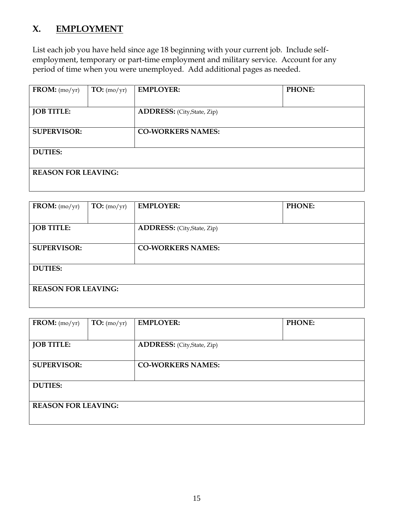### **X. EMPLOYMENT**

List each job you have held since age 18 beginning with your current job. Include selfemployment, temporary or part-time employment and military service. Account for any period of time when you were unemployed. Add additional pages as needed.

| $\textbf{FROM:} \left(\text{mo/yr}\right)$ | TO: (mo/yr) | <b>EMPLOYER:</b>                  | PHONE: |
|--------------------------------------------|-------------|-----------------------------------|--------|
|                                            |             |                                   |        |
|                                            |             |                                   |        |
|                                            |             |                                   |        |
| <b>JOB TITLE:</b>                          |             | <b>ADDRESS:</b> (City,State, Zip) |        |
|                                            |             |                                   |        |
|                                            |             |                                   |        |
|                                            |             |                                   |        |
| <b>SUPERVISOR:</b>                         |             | <b>CO-WORKERS NAMES:</b>          |        |
|                                            |             |                                   |        |
|                                            |             |                                   |        |
|                                            |             |                                   |        |
| <b>DUTIES:</b>                             |             |                                   |        |
|                                            |             |                                   |        |
|                                            |             |                                   |        |
|                                            |             |                                   |        |
| <b>REASON FOR LEAVING:</b>                 |             |                                   |        |
|                                            |             |                                   |        |
|                                            |             |                                   |        |
|                                            |             |                                   |        |

| FROM: $(mo/yr)$            | TO: (mo/yr) | <b>EMPLOYER:</b>                   | PHONE: |
|----------------------------|-------------|------------------------------------|--------|
|                            |             |                                    |        |
| <b>JOB TITLE:</b>          |             | <b>ADDRESS:</b> (City, State, Zip) |        |
| <b>SUPERVISOR:</b>         |             | <b>CO-WORKERS NAMES:</b>           |        |
|                            |             |                                    |        |
| <b>DUTIES:</b>             |             |                                    |        |
|                            |             |                                    |        |
| <b>REASON FOR LEAVING:</b> |             |                                    |        |
|                            |             |                                    |        |

| FROM: $(mo/yr)$            | TO: (mo/yr) | <b>EMPLOYER:</b>                   | PHONE: |
|----------------------------|-------------|------------------------------------|--------|
|                            |             |                                    |        |
| <b>JOB TITLE:</b>          |             | <b>ADDRESS:</b> (City, State, Zip) |        |
|                            |             |                                    |        |
| <b>SUPERVISOR:</b>         |             | <b>CO-WORKERS NAMES:</b>           |        |
|                            |             |                                    |        |
| <b>DUTIES:</b>             |             |                                    |        |
|                            |             |                                    |        |
| <b>REASON FOR LEAVING:</b> |             |                                    |        |
|                            |             |                                    |        |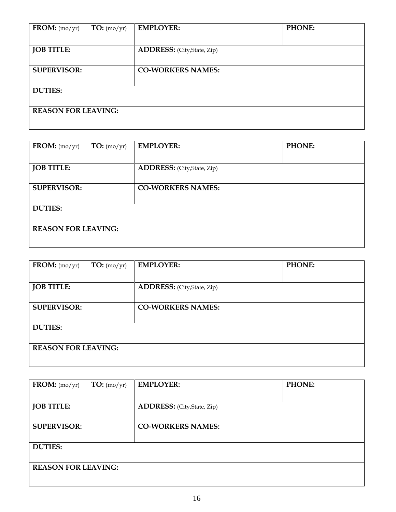| FROM: $(mo/yr)$            | TO: (mo/yr) | <b>EMPLOYER:</b>                  | PHONE: |
|----------------------------|-------------|-----------------------------------|--------|
| <b>JOB TITLE:</b>          |             | <b>ADDRESS:</b> (City,State, Zip) |        |
| <b>SUPERVISOR:</b>         |             | <b>CO-WORKERS NAMES:</b>          |        |
| <b>DUTIES:</b>             |             |                                   |        |
|                            |             |                                   |        |
| <b>REASON FOR LEAVING:</b> |             |                                   |        |

| FROM: $(mo/yr)$            | TO: (mo/yr) | <b>EMPLOYER:</b>                  | <b>PHONE:</b> |
|----------------------------|-------------|-----------------------------------|---------------|
|                            |             |                                   |               |
| <b>JOB TITLE:</b>          |             | <b>ADDRESS:</b> (City,State, Zip) |               |
| <b>SUPERVISOR:</b>         |             | <b>CO-WORKERS NAMES:</b>          |               |
| <b>DUTIES:</b>             |             |                                   |               |
| <b>REASON FOR LEAVING:</b> |             |                                   |               |

| FROM: $(mo/yr)$            | TO: (mo/yr) | <b>EMPLOYER:</b>                   | PHONE: |
|----------------------------|-------------|------------------------------------|--------|
|                            |             |                                    |        |
| <b>JOB TITLE:</b>          |             | <b>ADDRESS:</b> (City, State, Zip) |        |
|                            |             |                                    |        |
| <b>SUPERVISOR:</b>         |             | <b>CO-WORKERS NAMES:</b>           |        |
|                            |             |                                    |        |
| <b>DUTIES:</b>             |             |                                    |        |
|                            |             |                                    |        |
| <b>REASON FOR LEAVING:</b> |             |                                    |        |
|                            |             |                                    |        |

| FROM: $(mo/yr)$            | TO: (mo/yr) | <b>EMPLOYER:</b>                  | PHONE: |
|----------------------------|-------------|-----------------------------------|--------|
|                            |             |                                   |        |
| <b>JOB TITLE:</b>          |             | <b>ADDRESS:</b> (City,State, Zip) |        |
| <b>SUPERVISOR:</b>         |             | <b>CO-WORKERS NAMES:</b>          |        |
| <b>DUTIES:</b>             |             |                                   |        |
| <b>REASON FOR LEAVING:</b> |             |                                   |        |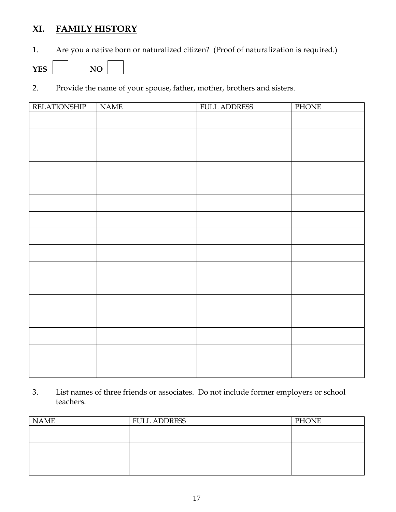## **XI. FAMILY HISTORY**

1. Are you a native born or naturalized citizen? (Proof of naturalization is required.)

 $YES$   $NO$ 

2. Provide the name of your spouse, father, mother, brothers and sisters.

| <b>RELATIONSHIP</b> | <b>NAME</b> | <b>FULL ADDRESS</b> | PHONE |
|---------------------|-------------|---------------------|-------|
|                     |             |                     |       |
|                     |             |                     |       |
|                     |             |                     |       |
|                     |             |                     |       |
|                     |             |                     |       |
|                     |             |                     |       |
|                     |             |                     |       |
|                     |             |                     |       |
|                     |             |                     |       |
|                     |             |                     |       |
|                     |             |                     |       |
|                     |             |                     |       |
|                     |             |                     |       |
|                     |             |                     |       |
|                     |             |                     |       |
|                     |             |                     |       |
|                     |             |                     |       |

3. List names of three friends or associates. Do not include former employers or school teachers.

| <b>NAME</b> | <b>FULL ADDRESS</b> | <b>PHONE</b> |
|-------------|---------------------|--------------|
|             |                     |              |
|             |                     |              |
|             |                     |              |
|             |                     |              |
|             |                     |              |
|             |                     |              |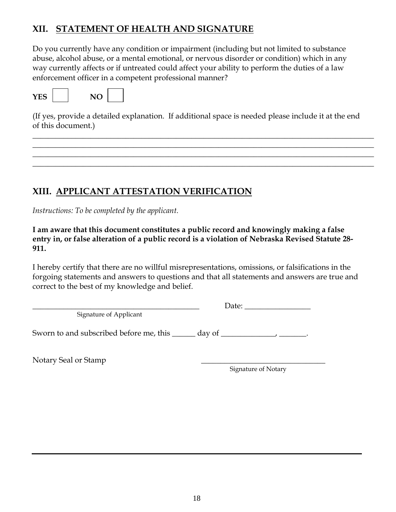## **XII. STATEMENT OF HEALTH AND SIGNATURE**

Do you currently have any condition or impairment (including but not limited to substance abuse, alcohol abuse, or a mental emotional, or nervous disorder or condition) which in any way currently affects or if untreated could affect your ability to perform the duties of a law enforcement officer in a competent professional manner?





(If yes, provide a detailed explanation. If additional space is needed please include it at the end of this document.)

**\_\_\_\_\_\_\_\_\_\_\_\_\_\_\_\_\_\_\_\_\_\_\_\_\_\_\_\_\_\_\_\_\_\_\_\_\_\_\_\_\_\_\_\_\_\_\_\_\_\_\_\_\_\_\_\_\_\_\_\_\_\_\_\_\_\_\_\_\_\_\_\_\_\_\_\_\_\_\_\_\_\_\_\_\_\_\_\_ \_\_\_\_\_\_\_\_\_\_\_\_\_\_\_\_\_\_\_\_\_\_\_\_\_\_\_\_\_\_\_\_\_\_\_\_\_\_\_\_\_\_\_\_\_\_\_\_\_\_\_\_\_\_\_\_\_\_\_\_\_\_\_\_\_\_\_\_\_\_\_\_\_\_\_\_\_\_\_\_\_\_\_\_\_\_\_\_ \_\_\_\_\_\_\_\_\_\_\_\_\_\_\_\_\_\_\_\_\_\_\_\_\_\_\_\_\_\_\_\_\_\_\_\_\_\_\_\_\_\_\_\_\_\_\_\_\_\_\_\_\_\_\_\_\_\_\_\_\_\_\_\_\_\_\_\_\_\_\_\_\_\_\_\_\_\_\_\_\_\_\_\_\_\_\_\_ \_\_\_\_\_\_\_\_\_\_\_\_\_\_\_\_\_\_\_\_\_\_\_\_\_\_\_\_\_\_\_\_\_\_\_\_\_\_\_\_\_\_\_\_\_\_\_\_\_\_\_\_\_\_\_\_\_\_\_\_\_\_\_\_\_\_\_\_\_\_\_\_\_\_\_\_\_\_\_\_\_\_\_\_\_\_\_\_**

## **XIII. APPLICANT ATTESTATION VERIFICATION**

*Instructions: To be completed by the applicant.*

**I am aware that this document constitutes a public record and knowingly making a false entry in, or false alteration of a public record is a violation of Nebraska Revised Statute 28- 911.**

I hereby certify that there are no willful misrepresentations, omissions, or falsifications in the forgoing statements and answers to questions and that all statements and answers are true and correct to the best of my knowledge and belief.

Signature of Applicant

\_\_\_\_\_\_\_\_\_\_\_\_\_\_\_\_\_\_\_\_\_\_\_\_\_\_\_\_\_\_\_\_\_\_\_\_\_\_\_\_\_\_\_ Date: \_\_\_\_\_\_\_\_\_\_\_\_\_\_\_\_\_

Sworn to and subscribed before me, this \_\_\_\_\_ day of \_\_\_\_\_\_\_\_\_\_\_\_\_\_\_\_\_\_\_\_\_\_\_\_\_\_.

Notary Seal or Stamp

Signature of Notary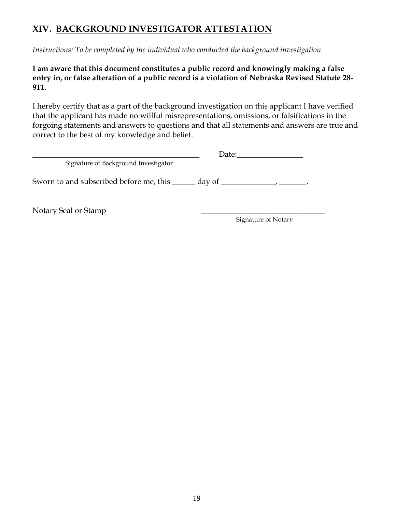## **XIV. BACKGROUND INVESTIGATOR ATTESTATION**

*Instructions: To be completed by the individual who conducted the background investigation.*

#### **I am aware that this document constitutes a public record and knowingly making a false entry in, or false alteration of a public record is a violation of Nebraska Revised Statute 28- 911.**

I hereby certify that as a part of the background investigation on this applicant I have verified that the applicant has made no willful misrepresentations, omissions, or falsifications in the forgoing statements and answers to questions and that all statements and answers are true and correct to the best of my knowledge and belief.

|                                                                          | Date: |  |
|--------------------------------------------------------------------------|-------|--|
| Signature of Background Investigator                                     |       |  |
| Sworn to and subscribed before me, this <u>equal</u> day of <u>equal</u> |       |  |
|                                                                          |       |  |

Notary Seal or Stamp

Signature of Notary